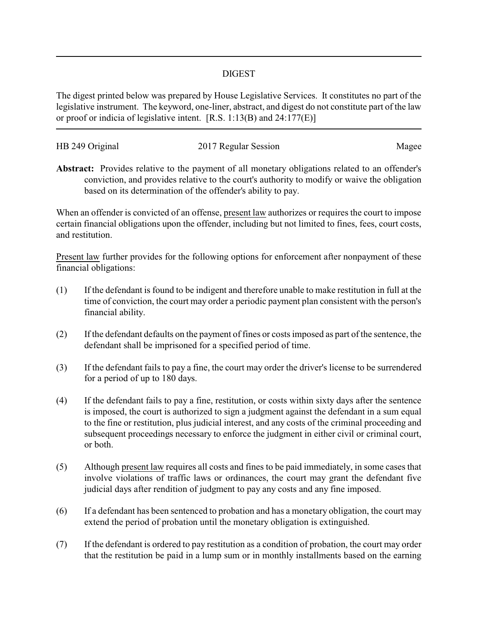## DIGEST

The digest printed below was prepared by House Legislative Services. It constitutes no part of the legislative instrument. The keyword, one-liner, abstract, and digest do not constitute part of the law or proof or indicia of legislative intent. [R.S. 1:13(B) and 24:177(E)]

| HB 249 Original | 2017 Regular Session | Magee |
|-----------------|----------------------|-------|
|                 |                      |       |

**Abstract:** Provides relative to the payment of all monetary obligations related to an offender's conviction, and provides relative to the court's authority to modify or waive the obligation based on its determination of the offender's ability to pay.

When an offender is convicted of an offense, present law authorizes or requires the court to impose certain financial obligations upon the offender, including but not limited to fines, fees, court costs, and restitution.

Present law further provides for the following options for enforcement after nonpayment of these financial obligations:

- (1) If the defendant is found to be indigent and therefore unable to make restitution in full at the time of conviction, the court may order a periodic payment plan consistent with the person's financial ability.
- (2) If the defendant defaults on the payment of fines or costs imposed as part of the sentence, the defendant shall be imprisoned for a specified period of time.
- (3) If the defendant fails to pay a fine, the court may order the driver's license to be surrendered for a period of up to 180 days.
- (4) If the defendant fails to pay a fine, restitution, or costs within sixty days after the sentence is imposed, the court is authorized to sign a judgment against the defendant in a sum equal to the fine or restitution, plus judicial interest, and any costs of the criminal proceeding and subsequent proceedings necessary to enforce the judgment in either civil or criminal court, or both.
- (5) Although present law requires all costs and fines to be paid immediately, in some cases that involve violations of traffic laws or ordinances, the court may grant the defendant five judicial days after rendition of judgment to pay any costs and any fine imposed.
- (6) If a defendant has been sentenced to probation and has a monetary obligation, the court may extend the period of probation until the monetary obligation is extinguished.
- (7) If the defendant is ordered to pay restitution as a condition of probation, the court may order that the restitution be paid in a lump sum or in monthly installments based on the earning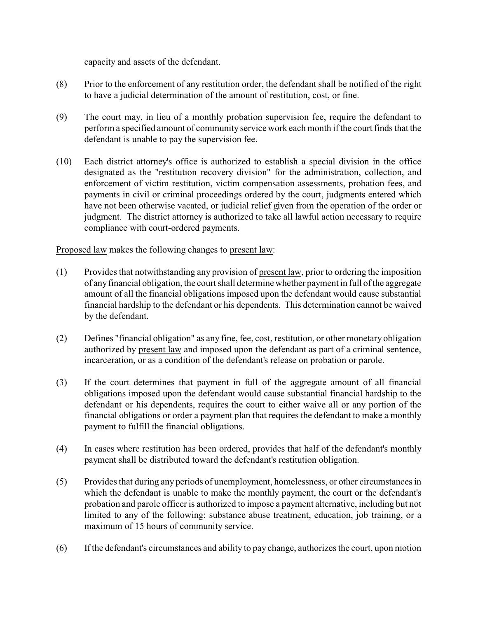capacity and assets of the defendant.

- (8) Prior to the enforcement of any restitution order, the defendant shall be notified of the right to have a judicial determination of the amount of restitution, cost, or fine.
- (9) The court may, in lieu of a monthly probation supervision fee, require the defendant to perform a specified amount of community service work each month if the court finds that the defendant is unable to pay the supervision fee.
- (10) Each district attorney's office is authorized to establish a special division in the office designated as the "restitution recovery division" for the administration, collection, and enforcement of victim restitution, victim compensation assessments, probation fees, and payments in civil or criminal proceedings ordered by the court, judgments entered which have not been otherwise vacated, or judicial relief given from the operation of the order or judgment. The district attorney is authorized to take all lawful action necessary to require compliance with court-ordered payments.

Proposed law makes the following changes to present law:

- (1) Provides that notwithstanding any provision of present law, prior to ordering the imposition of anyfinancial obligation, the court shall determine whether payment in full of the aggregate amount of all the financial obligations imposed upon the defendant would cause substantial financial hardship to the defendant or his dependents. This determination cannot be waived by the defendant.
- (2) Defines "financial obligation" as any fine, fee, cost, restitution, or other monetary obligation authorized by present law and imposed upon the defendant as part of a criminal sentence, incarceration, or as a condition of the defendant's release on probation or parole.
- (3) If the court determines that payment in full of the aggregate amount of all financial obligations imposed upon the defendant would cause substantial financial hardship to the defendant or his dependents, requires the court to either waive all or any portion of the financial obligations or order a payment plan that requires the defendant to make a monthly payment to fulfill the financial obligations.
- (4) In cases where restitution has been ordered, provides that half of the defendant's monthly payment shall be distributed toward the defendant's restitution obligation.
- (5) Provides that during any periods of unemployment, homelessness, or other circumstances in which the defendant is unable to make the monthly payment, the court or the defendant's probation and parole officer is authorized to impose a payment alternative, including but not limited to any of the following: substance abuse treatment, education, job training, or a maximum of 15 hours of community service.
- (6) If the defendant's circumstances and ability to pay change, authorizes the court, upon motion